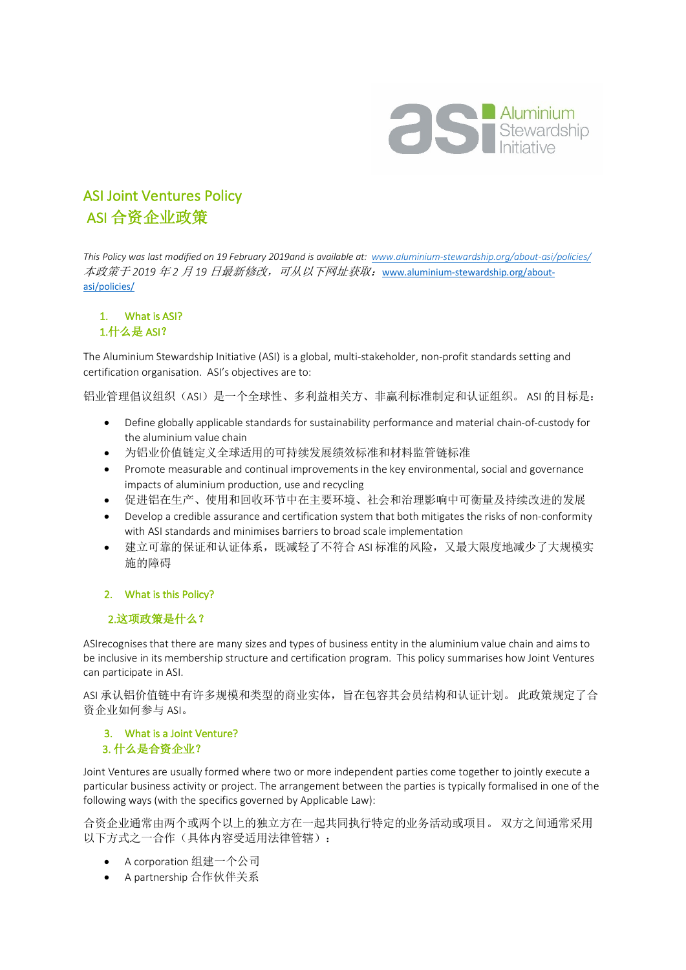

## ASI Joint Ventures Policy ASI 合资企业政策

*This Policy was last modified on 19 February 2019and is available at: www.aluminium-stewardship.org/about-asi/policies/* 本政策于 *2019* 年 *2* 月 *19* 日最新修改,可从以下网址获取:www.aluminium-stewardship.org/aboutasi/policies/

# 1. What is ASI?

## 1.什么是 ASI?

The Aluminium Stewardship Initiative (ASI) is a global, multi-stakeholder, non-profit standards setting and certification organisation. ASI's objectives are to:

铝业管理倡议组织(ASI)是一个全球性、多利益相关方、非赢利标准制定和认证组织。 ASI 的目标是:

- Define globally applicable standards for sustainability performance and material chain-of-custody for the aluminium value chain
- 为铝业价值链定义全球适用的可持续发展绩效标准和材料监管链标准
- Promote measurable and continual improvements in the key environmental, social and governance impacts of aluminium production, use and recycling
- 促进铝在生产、使用和回收环节中在主要环境、社会和治理影响中可衡量及持续改进的发展
- Develop a credible assurance and certification system that both mitigates the risks of non-conformity with ASI standards and minimises barriers to broad scale implementation
- 建立可靠的保证和认证体系,既减轻了不符合 ASI 标准的风险,又最大限度地减少了大规模实 施的障碍

## 2. What is this Policy?

## 2.这项政策是什么?

ASIrecognises that there are many sizes and types of business entity in the aluminium value chain and aims to be inclusive in its membership structure and certification program. This policy summarises how Joint Ventures can participate in ASI.

ASI 承认铝价值链中有许多规模和类型的商业实体,旨在包容其会员结构和认证计划。 此政策规定了合 资企业如何参与 ASI。

#### 3. What is a Joint Venture? 3. 什么是合资企业?

Joint Ventures are usually formed where two or more independent parties come together to jointly execute a particular business activity or project. The arrangement between the parties is typically formalised in one of the following ways (with the specifics governed by Applicable Law):

合资企业通常由两个或两个以上的独立方在一起共同执行特定的业务活动或项目。 双方之间通常采用 以下方式之一合作(具体内容受适用法律管辖):

- A corporation 组建一个公司
- A partnership 合作伙伴关系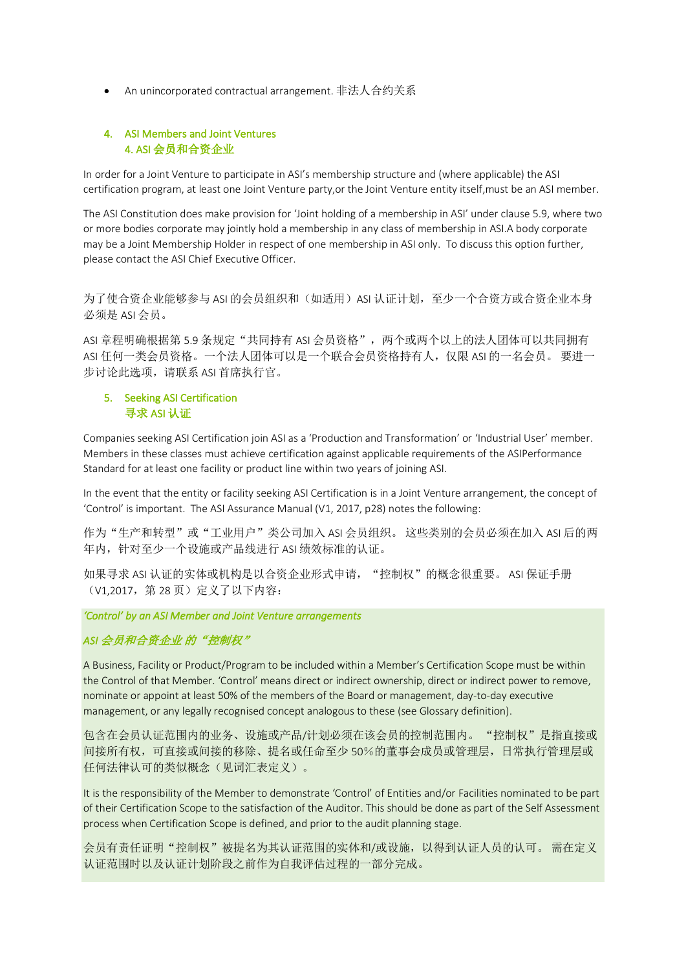• An unincorporated contractual arrangement. 非法人合约关系

#### 4. ASI Members and Joint Ventures 4. ASI 会员和合资企业

In order for a Joint Venture to participate in ASI's membership structure and (where applicable) the ASI certification program, at least one Joint Venture party,or the Joint Venture entity itself,must be an ASI member.

The ASI Constitution does make provision for 'Joint holding of a membership in ASI' under clause 5.9, where two or more bodies corporate may jointly hold a membership in any class of membership in ASI.A body corporate may be a Joint Membership Holder in respect of one membership in ASI only. To discuss this option further, please contact the ASI Chief Executive Officer.

为了使合资企业能够参与 ASI 的会员组织和(如适用) ASI 认证计划,至少一个合资方或合资企业本身 必须是 ASI 会员。

ASI 章程明确根据第 5.9 条规定"共同持有 ASI 会员资格",两个或两个以上的法人团体可以共同拥有 ASI 任何一类会员资格。一个法人团体可以是一个联合会员资格持有人,仅限 ASI 的一名会员。 要进一 步讨论此选项,请联系 ASI 首席执行官。

#### 5. Seeking ASI Certification 寻求 ASI 认证

Companies seeking ASI Certification join ASI as a 'Production and Transformation' or 'Industrial User' member. Members in these classes must achieve certification against applicable requirements of the ASIPerformance Standard for at least one facility or product line within two years of joining ASI.

In the event that the entity or facility seeking ASI Certification is in a Joint Venture arrangement, the concept of 'Control' is important. The ASI Assurance Manual (V1, 2017, p28) notes the following:

作为"生产和转型"或"工业用户"类公司加入 ASI 会员组织。 这些类别的会员必须在加入 ASI 后的两 年内,针对至少一个设施或产品线进行 ASI 绩效标准的认证。

如果寻求 ASI 认证的实体或机构是以合资企业形式申请, "控制权"的概念很重要。 ASI 保证手册 (V1.2017, 第 28 页) 定义了以下内容:

*'Control' by an ASI Member and Joint Venture arrangements* 

## ASI 会员和合资企业 的"控制权"

A Business, Facility or Product/Program to be included within a Member's Certification Scope must be within the Control of that Member. 'Control' means direct or indirect ownership, direct or indirect power to remove, nominate or appoint at least 50% of the members of the Board or management, day-to-day executive management, or any legally recognised concept analogous to these (see Glossary definition).

包含在会员认证范围内的业务、设施或产品/计划必须在该会员的控制范围内。 "控制权"是指直接或 间接所有权,可直接或间接的移除、提名或任命至少 50%的董事会成员或管理层,日常执行管理层或 任何法律认可的类似概念(见词汇表定义)。

It is the responsibility of the Member to demonstrate 'Control' of Entities and/or Facilities nominated to be part of their Certification Scope to the satisfaction of the Auditor. This should be done as part of the Self Assessment process when Certification Scope is defined, and prior to the audit planning stage.

会员有责任证明"控制权"被提名为其认证范围的实体和/或设施,以得到认证人员的认可。 需在定义 认证范围时以及认证计划阶段之前作为自我评估过程的一部分完成。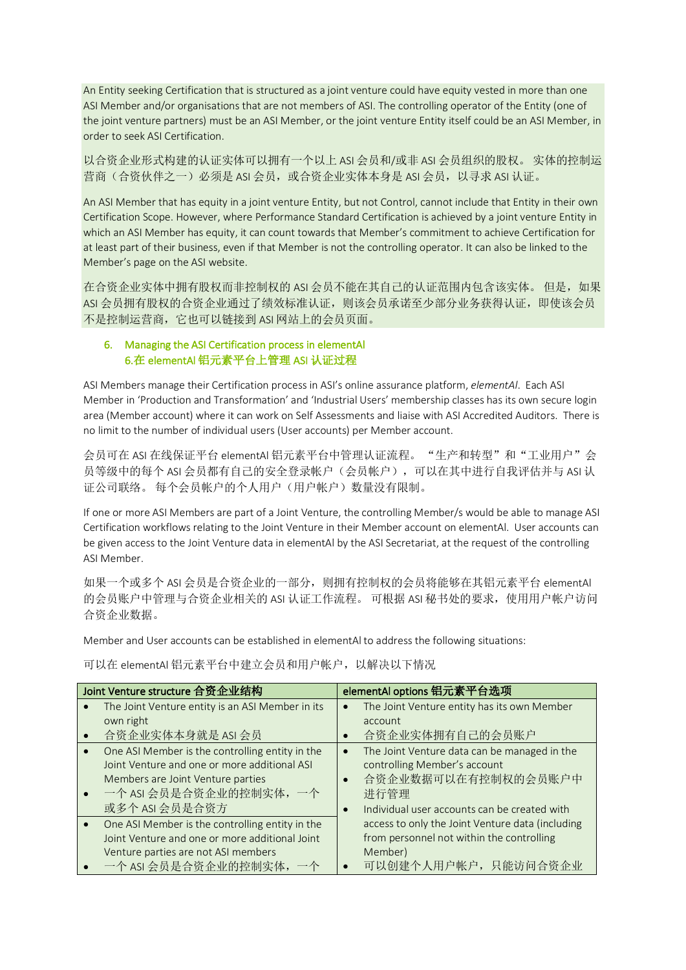An Entity seeking Certification that is structured as a joint venture could have equity vested in more than one ASI Member and/or organisations that are not members of ASI. The controlling operator of the Entity (one of the joint venture partners) must be an ASI Member, or the joint venture Entity itself could be an ASI Member, in order to seek ASI Certification.

以合资企业形式构建的认证实体可以拥有一个以上 ASI 会员和/或非 ASI 会员组织的股权。 实体的控制运 营商(合资伙伴之一)必须是 ASI 会员,或合资企业实体本身是 ASI 会员,以寻求 ASI 认证。

An ASI Member that has equity in a joint venture Entity, but not Control, cannot include that Entity in their own Certification Scope. However, where Performance Standard Certification is achieved by a joint venture Entity in which an ASI Member has equity, it can count towards that Member's commitment to achieve Certification for at least part of their business, even if that Member is not the controlling operator. It can also be linked to the Member's page on the ASI website.

在合资企业实体中拥有股权而非控制权的 ASI 会员不能在其自己的认证范围内包含该实体。 但是, 如果 ASI 会员拥有股权的合资企业通过了绩效标准认证,则该会员承诺至少部分业务获得认证,即使该会员 不是控制运营商,它也可以链接到 ASI 网站上的会员页面。

#### 6. Managing the ASI Certification process in elementAl 6.在 elementAl 铝元素平台上管理 ASI 认证过程

ASI Members manage their Certification process in ASI's online assurance platform, *elementAl*. Each ASI Member in 'Production and Transformation' and 'Industrial Users' membership classes has its own secure login area (Member account) where it can work on Self Assessments and liaise with ASI Accredited Auditors. There is no limit to the number of individual users (User accounts) per Member account.

会员可在 ASI 在线保证平台 elementAI 铝元素平台中管理认证流程。"生产和转型"和"工业用户"会 员等级中的每个 ASI 会员都有自己的安全登录帐户(会员帐户),可以在其中进行自我评估并与 ASI 认 证公司联络。 每个会员帐户的个人用户(用户帐户)数量没有限制。

If one or more ASI Members are part of a Joint Venture, the controlling Member/s would be able to manage ASI Certification workflows relating to the Joint Venture in their Member account on elementAl. User accounts can be given access to the Joint Venture data in elementAl by the ASI Secretariat, at the request of the controlling ASI Member.

如果一个或多个 ASI 会员是合资企业的一部分,则拥有控制权的会员将能够在其铝元素平台 elementAl 的会员账户中管理与合资企业相关的 ASI 认证工作流程。 可根据 ASI 秘书处的要求,使用用户帐户访问 合资企业数据。

Member and User accounts can be established in elementAl to address the following situations:

可以在 elementAl 铝元素平台中建立会员和用户帐户,以解决以下情况

| Joint Venture structure 合资企业结构 |                                                  | elementAl options 铝元素平台选项 |                                                  |
|--------------------------------|--------------------------------------------------|---------------------------|--------------------------------------------------|
|                                | The Joint Venture entity is an ASI Member in its | $\bullet$                 | The Joint Venture entity has its own Member      |
|                                | own right                                        |                           | account                                          |
|                                | 合资企业实体本身就是 ASI 会员                                |                           | 合资企业实体拥有自己的会员账户                                  |
|                                | One ASI Member is the controlling entity in the  | $\bullet$                 | The Joint Venture data can be managed in the     |
|                                | Joint Venture and one or more additional ASI     |                           | controlling Member's account                     |
|                                | Members are Joint Venture parties                |                           | 合资企业数据可以在有控制权的会员账户中                              |
|                                | 一个 ASI 会员是合资企业的控制实体, 一个                          |                           | 进行管理                                             |
|                                | 或多个 ASI 会员是合资方                                   | $\bullet$                 | Individual user accounts can be created with     |
|                                | One ASI Member is the controlling entity in the  |                           | access to only the Joint Venture data (including |
|                                | Joint Venture and one or more additional Joint   |                           | from personnel not within the controlling        |
|                                | Venture parties are not ASI members              |                           | Member)                                          |
|                                | 一个 ASI 会员是合资企业的控制实体,<br>一个                       |                           | 可以创建个人用户帐户, 只能访问合资企业                             |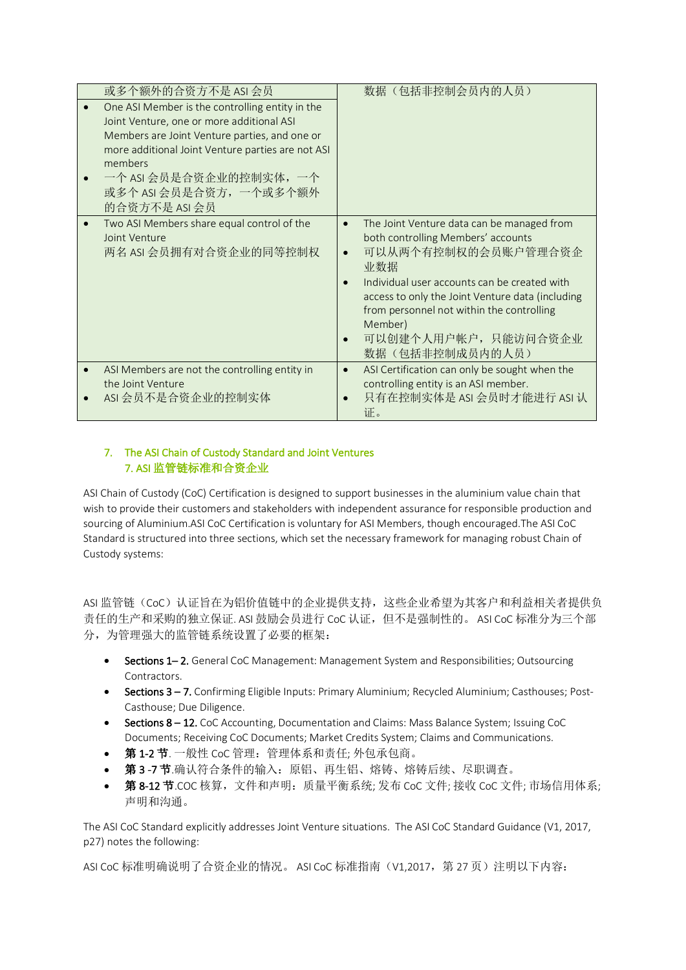| 或多个额外的合资方不是 ASI 会员                                                                                                                                                                                                                                                                   | 数据(包括非控制会员内的人员)                                                                                                                                                                                                                                                                                                                     |
|--------------------------------------------------------------------------------------------------------------------------------------------------------------------------------------------------------------------------------------------------------------------------------------|-------------------------------------------------------------------------------------------------------------------------------------------------------------------------------------------------------------------------------------------------------------------------------------------------------------------------------------|
| One ASI Member is the controlling entity in the<br>Joint Venture, one or more additional ASI<br>Members are Joint Venture parties, and one or<br>more additional Joint Venture parties are not ASI<br>members<br>一个 ASI 会员是合资企业的控制实体, 一个<br>或多个 ASI 会员是合资方, 一个或多个额外<br>的合资方不是 ASI 会员 |                                                                                                                                                                                                                                                                                                                                     |
| Two ASI Members share equal control of the<br>Joint Venture<br>两名 ASI 会员拥有对合资企业的同等控制权                                                                                                                                                                                                | The Joint Venture data can be managed from<br>$\bullet$<br>both controlling Members' accounts<br>可以从两个有控制权的会员账户管理合资企<br>业数据<br>Individual user accounts can be created with<br>access to only the Joint Venture data (including<br>from personnel not within the controlling<br>Member)<br>可以创建个人用户帐户, 只能访问合资企业<br>数据 (包括非控制成员内的人员) |
| ASI Members are not the controlling entity in<br>the Joint Venture<br>ASI 会员不是合资企业的控制实体                                                                                                                                                                                              | ASI Certification can only be sought when the<br>$\bullet$<br>controlling entity is an ASI member.<br>只有在控制实体是 ASI 会员时才能进行 ASI 认<br>证。                                                                                                                                                                                              |

#### 7. The ASI Chain of Custody Standard and Joint Ventures 7. ASI 监管链标准和合资企业

ASI Chain of Custody (CoC) Certification is designed to support businesses in the aluminium value chain that wish to provide their customers and stakeholders with independent assurance for responsible production and sourcing of Aluminium.ASI CoC Certification is voluntary for ASI Members, though encouraged.The ASI CoC Standard is structured into three sections, which set the necessary framework for managing robust Chain of Custody systems:

ASI 监管链(CoC)认证旨在为铝价值链中的企业提供支持,这些企业希望为其客户和利益相关者提供负 责任的生产和采购的独立保证. ASI 鼓励会员进行 CoC 认证,但不是强制性的。 ASI CoC 标准分为三个部 分,为管理强大的监管链系统设置了必要的框架:

- Sections 1– 2. General CoC Management: Management System and Responsibilities; Outsourcing Contractors.
- Sections 3 7. Confirming Eligible Inputs: Primary Aluminium; Recycled Aluminium; Casthouses; Post-Casthouse; Due Diligence.
- Sections 8 12. CoC Accounting, Documentation and Claims: Mass Balance System; Issuing CoC Documents; Receiving CoC Documents; Market Credits System; Claims and Communications.
- 第 1-2 节. 一般性 CoC 管理: 管理体系和责任; 外包承包商。
- 第 3 -7 节.确认符合条件的输入:原铝、再生铝、熔铸、熔铸后续、尽职调查。
- 第 8-12 节.COC 核算, 文件和声明: 质量平衡系统; 发布 CoC 文件; 接收 CoC 文件; 市场信用体系; 声明和沟通。

The ASI CoC Standard explicitly addresses Joint Venture situations. The ASI CoC Standard Guidance (V1, 2017, p27) notes the following:

ASI CoC 标准明确说明了合资企业的情况。 ASI CoC 标准指南(V1,2017,第 27 页)注明以下内容: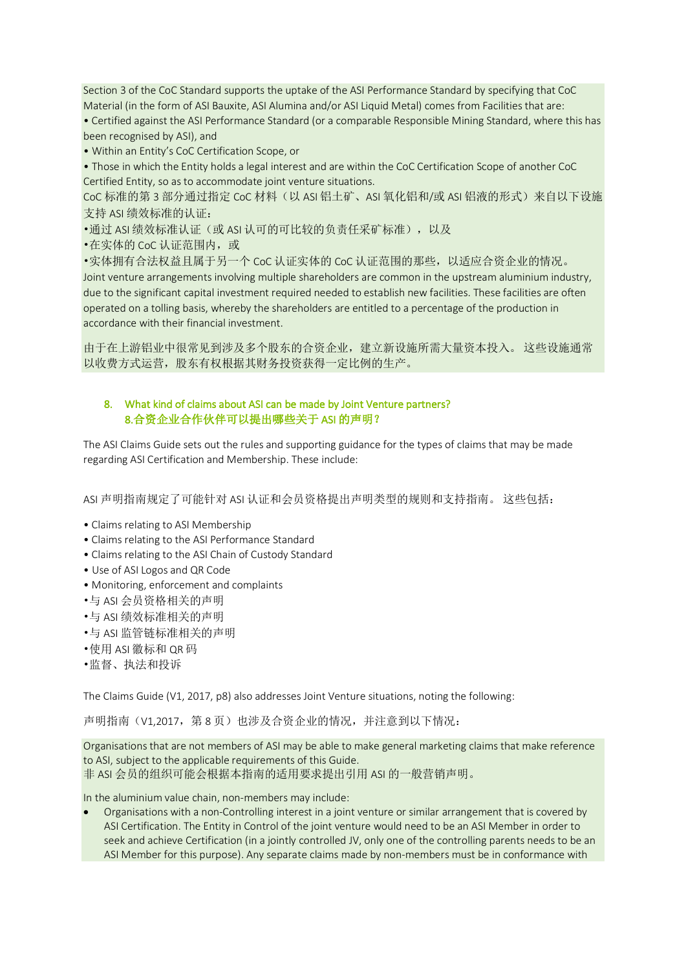Section 3 of the CoC Standard supports the uptake of the ASI Performance Standard by specifying that CoC Material (in the form of ASI Bauxite, ASI Alumina and/or ASI Liquid Metal) comes from Facilities that are: • Certified against the ASI Performance Standard (or a comparable Responsible Mining Standard, where this has been recognised by ASI), and

• Within an Entity's CoC Certification Scope, or

• Those in which the Entity holds a legal interest and are within the CoC Certification Scope of another CoC Certified Entity, so as to accommodate joint venture situations.

CoC 标准的第 3 部分通过指定 CoC 材料 (以 ASI 铝土矿、ASI 氧化铝和/或 ASI 铝液的形式)来自以下设施 支持 ASI 绩效标准的认证:

•通过 ASI 绩效标准认证(或 ASI 认可的可比较的负责任采矿标准),以及

•在实体的 CoC 认证范围内, 或

•实体拥有合法权益且属于另一个 CoC 认证实体的 CoC 认证范围的那些,以适应合资企业的情况。 Joint venture arrangements involving multiple shareholders are common in the upstream aluminium industry, due to the significant capital investment required needed to establish new facilities. These facilities are often operated on a tolling basis, whereby the shareholders are entitled to a percentage of the production in accordance with their financial investment.

由于在上游铝业中很常见到涉及多个股东的合资企业,建立新设施所需大量资本投入。 这些设施通常 以收费方式运营,股东有权根据其财务投资获得一定比例的生产。

#### 8. What kind of claims about ASI can be made by Joint Venture partners? 8.合资企业合作伙伴可以提出哪些关于 ASI 的声明?

The ASI Claims Guide sets out the rules and supporting guidance for the types of claims that may be made regarding ASI Certification and Membership. These include:

ASI 声明指南规定了可能针对 ASI 认证和会员资格提出声明类型的规则和支持指南。 这些包括:

- Claims relating to ASI Membership
- Claims relating to the ASI Performance Standard
- Claims relating to the ASI Chain of Custody Standard
- Use of ASI Logos and QR Code
- Monitoring, enforcement and complaints
- •与 ASI 会员资格相关的声明
- •与 ASI 绩效标准相关的声明
- •与 ASI 监管链标准相关的声明
- •使用 ASI 徽标和 QR 码
- •监督、执法和投诉

The Claims Guide (V1, 2017, p8) also addresses Joint Venture situations, noting the following:

声明指南(V1.2017, 第 8 页)也涉及合资企业的情况,并注意到以下情况:

Organisations that are not members of ASI may be able to make general marketing claims that make reference to ASI, subject to the applicable requirements of this Guide. 非 ASI 会员的组织可能会根据本指南的适用要求提出引用 ASI 的一般营销声明。

In the aluminium value chain, non-members may include:

• Organisations with a non-Controlling interest in a joint venture or similar arrangement that is covered by ASI Certification. The Entity in Control of the joint venture would need to be an ASI Member in order to seek and achieve Certification (in a jointly controlled JV, only one of the controlling parents needs to be an ASI Member for this purpose). Any separate claims made by non-members must be in conformance with